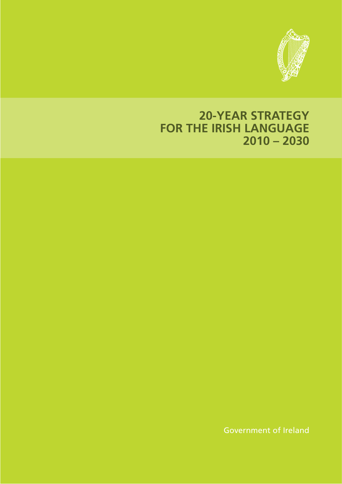

# **20-YEAR STRATEGY FOR THE IRISH LANGUAGE 2010 – 2030**

Government of Ireland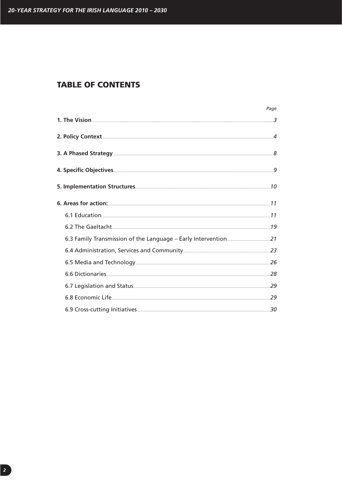# **TABLE OF CONTENTS**

|                        | Page |
|------------------------|------|
|                        |      |
|                        |      |
|                        |      |
|                        |      |
|                        |      |
|                        |      |
|                        |      |
|                        |      |
|                        |      |
|                        |      |
|                        |      |
| 6.6 Dictionaries 28 28 |      |
|                        |      |
|                        |      |
|                        |      |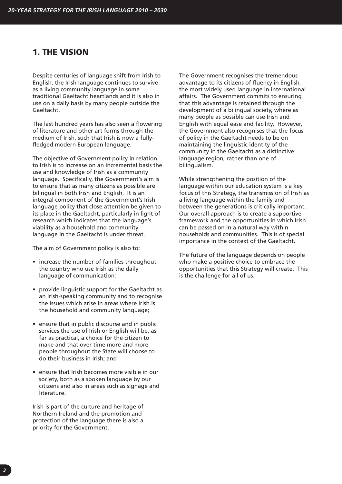# **1. THE VISION**

Despite centuries of language shift from Irish to English, the Irish language continues to survive as a living community language in some traditional Gaeltacht heartlands and it is also in use on a daily basis by many people outside the Gaeltacht.

The last hundred years has also seen a flowering of literature and other art forms through the medium of Irish, such that Irish is now a fullyfledged modern European language.

The objective of Government policy in relation to Irish is to increase on an incremental basis the use and knowledge of Irish as a community language. Specifically, the Government's aim is to ensure that as many citizens as possible are bilingual in both Irish and English. It is an integral component of the Government's Irish language policy that close attention be given to its place in the Gaeltacht, particularly in light of research which indicates that the language's viability as a household and community language in the Gaeltacht is under threat.

The aim of Government policy is also to:

- increase the number of families throughout the country who use Irish as the daily language of communication;
- provide linguistic support for the Gaeltacht as an Irish-speaking community and to recognise the issues which arise in areas where Irish is the household and community language;
- ensure that in public discourse and in public services the use of Irish or English will be, as far as practical, a choice for the citizen to make and that over time more and more people throughout the State will choose to do their business in Irish; and
- ensure that Irish becomes more visible in our society, both as a spoken language by our citizens and also in areas such as signage and literature.

Irish is part of the culture and heritage of Northern Ireland and the promotion and protection of the language there is also a priority for the Government.

The Government recognises the tremendous advantage to its citizens of fluency in English, the most widely used language in international affairs. The Government commits to ensuring that this advantage is retained through the development of a bilingual society, where as many people as possible can use Irish and English with equal ease and facility. However, the Government also recognises that the focus of policy in the Gaeltacht needs to be on maintaining the linguistic identity of the community in the Gaeltacht as a distinctive language region, rather than one of bilingualism.

While strengthening the position of the language within our education system is a key focus of this Strategy, the transmission of Irish as a living language within the family and between the generations is critically important. Our overall approach is to create a supportive framework and the opportunities in which Irish can be passed on in a natural way within households and communities. This is of special importance in the context of the Gaeltacht.

The future of the language depends on people who make a positive choice to embrace the opportunities that this Strategy will create. This is the challenge for all of us.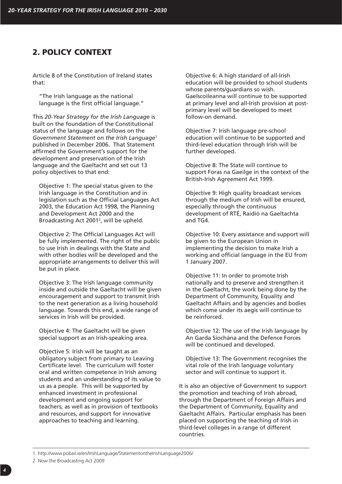# **2. POLICY CONTEXT**

Article 8 of the Constitution of Ireland states that:

"The Irish language as the national language is the first official language."

This *20-Year Strategy for the Irish Language* is built on the foundation of the Constitutional status of the language and follows on the *Government Statement on the Irish Language*<sup>1</sup> published in December 2006. That Statement affirmed the Government's support for the development and preservation of the Irish language and the Gaeltacht and set out 13 policy objectives to that end:

Objective 1: The special status given to the Irish language in the Constitution and in legislation such as the Official Languages Act 2003, the Education Act 1998, the Planning and Development Act 2000 and the Broadcasting Act 20012, will be upheld.

Objective 2: The Official Languages Act will be fully implemented. The right of the public to use Irish in dealings with the State and with other bodies will be developed and the appropriate arrangements to deliver this will be put in place.

Objective 3: The Irish language community inside and outside the Gaeltacht will be given encouragement and support to transmit Irish to the next generation as a living household language. Towards this end, a wide range of services in Irish will be provided.

Objective 4: The Gaeltacht will be given special support as an Irish-speaking area.

Objective 5: Irish will be taught as an obligatory subject from primary to Leaving Certificate level. The curriculum will foster oral and written competence in Irish among students and an understanding of its value to us as a people. This will be supported by enhanced investment in professional development and ongoing support for teachers, as well as in provision of textbooks and resources, and support for innovative approaches to teaching and learning.

Objective 6: A high standard of all-Irish education will be provided to school students whose parents/guardians so wish. Gaelscoileanna will continue to be supported at primary level and all-Irish provision at postprimary level will be developed to meet follow-on demand.

Objective 7: Irish language pre-school education will continue to be supported and third-level education through Irish will be further developed.

Objective 8: The State will continue to support Foras na Gaeilge in the context of the British-Irish Agreement Act 1999.

Objective 9: High quality broadcast services through the medium of Irish will be ensured, especially through the continuous development of RTÉ, Raidió na Gaeltachta and TG4.

Objective 10: Every assistance and support will be given to the European Union in implementing the decision to make Irish a working and official language in the EU from 1 January 2007.

Objective 11: In order to promote Irish nationally and to preserve and strengthen it in the Gaeltacht, the work being done by the Department of Community, Equality and Gaeltacht Affairs and by agencies and bodies which come under its aegis will continue to be reinforced.

Objective 12: The use of the Irish language by An Garda Síochána and the Defence Forces will be continued and developed.

Objective 13: The Government recognises the vital role of the Irish language voluntary sector and will continue to support it.

It is also an objective of Government to support the promotion and teaching of Irish abroad, through the Department of Foreign Affairs and the Department of Community, Equality and Gaeltacht Affairs. Particular emphasis has been placed on supporting the teaching of Irish in third-level colleges in a range of different countries.

1. http://www.pobail.ie/en/IrishLanguage/StatementontheIrishLanguage2006/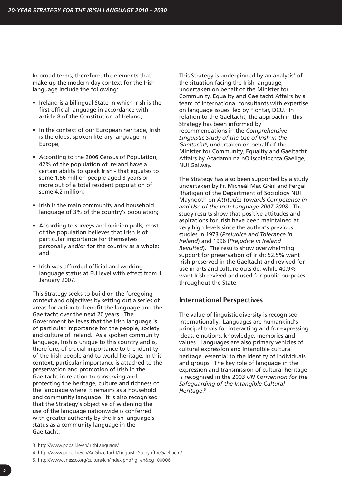In broad terms, therefore, the elements that make up the modern-day context for the Irish language include the following:

- Ireland is a bilingual State in which Irish is the first official language in accordance with article 8 of the Constitution of Ireland;
- In the context of our European heritage, Irish is the oldest spoken literary language in Europe;
- According to the 2006 Census of Population, 42% of the population of Ireland have a certain ability to speak Irish - that equates to some 1.66 million people aged 3 years or more out of a total resident population of some 4.2 million;
- Irish is the main community and household language of 3% of the country's population;
- According to surveys and opinion polls, most of the population believes that Irish is of particular importance for themselves personally and/or for the country as a whole; and
- Irish was afforded official and working language status at EU level with effect from 1 January 2007.

This Strategy seeks to build on the foregoing context and objectives by setting out a series of areas for action to benefit the language and the Gaeltacht over the next 20 years. The Government believes that the Irish language is of particular importance for the people, society and culture of Ireland. As a spoken community language, Irish is unique to this country and is, therefore, of crucial importance to the identity of the Irish people and to world heritage. In this context, particular importance is attached to the preservation and promotion of Irish in the Gaeltacht in relation to conserving and protecting the heritage, culture and richness of the language where it remains as a household and community language. It is also recognised that the Strategy's objective of widening the use of the language nationwide is conferred with greater authority by the Irish language's status as a community language in the Gaeltacht.

This Strategy is underpinned by an analysis<sup>3</sup> of the situation facing the Irish language, undertaken on behalf of the Minister for Community, Equality and Gaeltacht Affairs by a team of international consultants with expertise on language issues, led by Fiontar, DCU. In relation to the Gaeltacht, the approach in this Strategy has been informed by recommendations in the *Comprehensive Linguistic Study of the Use of Irish in the Gaeltacht*4, undertaken on behalf of the Minister for Community, Equality and Gaeltacht Affairs by Acadamh na hOllscolaíochta Gaeilge, NUI Galway.

The Strategy has also been supported by a study undertaken by Fr. Micheál Mac Gréil and Fergal Rhatigan of the Department of Sociology NUI Maynooth on *Attitudes towards Competence in and Use of the Irish Language 2007-2008*. The study results show that positive attitudes and aspirations for Irish have been maintained at very high levels since the author's previous studies in 1973 (*Prejudice and Tolerance In Ireland*) and 1996 (*Prejudice in Ireland Revisited*). The results show overwhelming support for preservation of Irish: 52.5% want Irish preserved in the Gaeltacht and revived for use in arts and culture outside, while 40.9% want Irish revived and used for public purposes throughout the State.

### **International Perspectives**

The value of linguistic diversity is recognised internationally. Languages are humankind's principal tools for interacting and for expressing ideas, emotions, knowledge, memories and values. Languages are also primary vehicles of cultural expression and intangible cultural heritage, essential to the identity of individuals and groups. The key role of language in the expression and transmission of cultural heritage is recognised in the 2003 *UN Convention for the Safeguarding of the Intangible Cultural Heritage*. 5

<sup>3.</sup> http://www.pobail.ie/en/IrishLanguage/

<sup>4.</sup> http://www.pobail.ie/en/AnGhaeltacht/LinguisticStudyoftheGaeltacht/

<sup>5.</sup> http://www.unesco.org/culture/ich/index.php?lg=en&pg=00006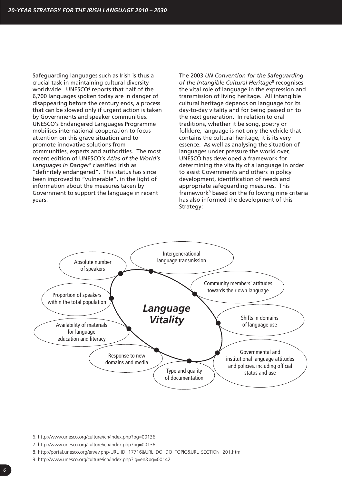Safeguarding languages such as Irish is thus a crucial task in maintaining cultural diversity worldwide. UNESCO<sup>6</sup> reports that half of the 6,700 languages spoken today are in danger of disappearing before the century ends, a process that can be slowed only if urgent action is taken by Governments and speaker communities. UNESCO's Endangered Languages Programme mobilises international cooperation to focus attention on this grave situation and to promote innovative solutions from communities, experts and authorities. The most recent edition of UNESCO's *Atlas of the World's Languages in Danger*<sup>7</sup> classified Irish as "definitely endangered". This status has since been improved to "vulnerable", in the light of information about the measures taken by Government to support the language in recent years.

The 2003 *UN Convention for the Safeguarding of the Intangible Cultural Heritage*<sup>8</sup> recognises the vital role of language in the expression and transmission of living heritage. All intangible cultural heritage depends on language for its day-to-day vitality and for being passed on to the next generation. In relation to oral traditions, whether it be song, poetry or folklore, language is not only the vehicle that contains the cultural heritage, it is its very essence. As well as analysing the situation of languages under pressure the world over, UNESCO has developed a framework for determining the vitality of a language in order to assist Governments and others in policy development, identification of needs and appropriate safeguarding measures. This framework9 based on the following nine criteria has also informed the development of this Strategy:



- 7. http://www.unesco.org/culture/ich/index.php?pg=00136
- 8. http://portal.unesco.org/en/ev.php-URL\_ID=17716&URL\_DO=DO\_TOPIC&URL\_SECTION=201.html
- 9. http://www.unesco.org/culture/ich/index.php?lg=en&pg=00142

<sup>6.</sup> http://www.unesco.org/culture/ich/index.php?pg=00136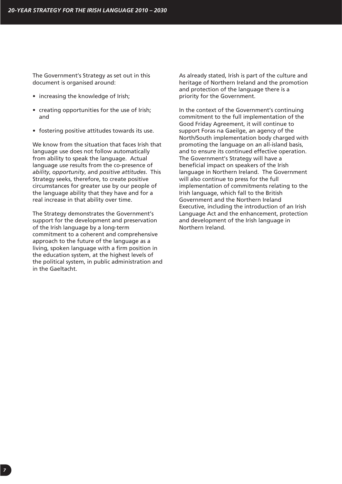The Government's Strategy as set out in this document is organised around:

- increasing the knowledge of Irish;
- creating opportunities for the use of Irish; and
- fostering positive attitudes towards its use.

We know from the situation that faces Irish that language use does not follow automatically from ability to speak the language. Actual language *use* results from the co-presence of *ability*, *opportunity*, and *positive attitudes*. This Strategy seeks, therefore, to create positive circumstances for greater use by our people of the language ability that they have and for a real increase in that ability over time.

The Strategy demonstrates the Government's support for the development and preservation of the Irish language by a long-term commitment to a coherent and comprehensive approach to the future of the language as a living, spoken language with a firm position in the education system, at the highest levels of the political system, in public administration and in the Gaeltacht.

As already stated, Irish is part of the culture and heritage of Northern Ireland and the promotion and protection of the language there is a priority for the Government.

In the context of the Government's continuing commitment to the full implementation of the Good Friday Agreement, it will continue to support Foras na Gaeilge, an agency of the North/South implementation body charged with promoting the language on an all-island basis, and to ensure its continued effective operation. The Government's Strategy will have a beneficial impact on speakers of the Irish language in Northern Ireland. The Government will also continue to press for the full implementation of commitments relating to the Irish language, which fall to the British Government and the Northern Ireland Executive, including the introduction of an Irish Language Act and the enhancement, protection and development of the Irish language in Northern Ireland.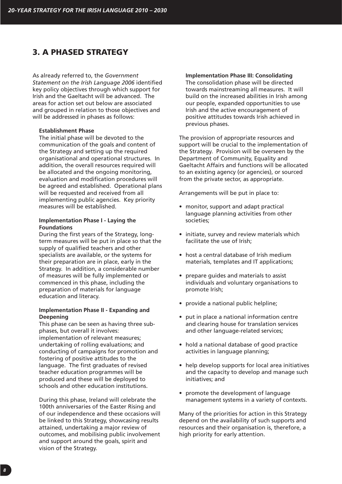# **3. A PHASED STRATEGY**

As already referred to, the *Government Statement on the Irish Language 2006* identified key policy objectives through which support for Irish and the Gaeltacht will be advanced. The areas for action set out below are associated and grouped in relation to those objectives and will be addressed in phases as follows:

#### **Establishment Phase**

The initial phase will be devoted to the communication of the goals and content of the Strategy and setting up the required organisational and operational structures. In addition, the overall resources required will be allocated and the ongoing monitoring, evaluation and modification procedures will be agreed and established. Operational plans will be requested and received from all implementing public agencies. Key priority measures will be established.

#### **Implementation Phase I - Laying the Foundations**

During the first years of the Strategy, longterm measures will be put in place so that the supply of qualified teachers and other specialists are available, or the systems for their preparation are in place, early in the Strategy. In addition, a considerable number of measures will be fully implemented or commenced in this phase, including the preparation of materials for language education and literacy.

#### **Implementation Phase II - Expanding and Deepening**

This phase can be seen as having three subphases, but overall it involves: implementation of relevant measures; undertaking of rolling evaluations; and conducting of campaigns for promotion and fostering of positive attitudes to the language. The first graduates of revised teacher education programmes will be produced and these will be deployed to schools and other education institutions.

During this phase, Ireland will celebrate the 100th anniversaries of the Easter Rising and of our independence and these occasions will be linked to this Strategy, showcasing results attained, undertaking a major review of outcomes, and mobilising public involvement and support around the goals, spirit and vision of the Strategy.

#### **Implementation Phase III: Consolidating**

The consolidation phase will be directed towards mainstreaming all measures. It will build on the increased abilities in Irish among our people, expanded opportunities to use Irish and the active encouragement of positive attitudes towards Irish achieved in previous phases.

The provision of appropriate resources and support will be crucial to the implementation of the Strategy. Provision will be overseen by the Department of Community, Equality and Gaeltacht Affairs and functions will be allocated to an existing agency (or agencies), or sourced from the private sector, as appropriate.

Arrangements will be put in place to:

- monitor, support and adapt practical language planning activities from other societies;
- initiate, survey and review materials which facilitate the use of Irish;
- host a central database of Irish medium materials, templates and IT applications;
- prepare guides and materials to assist individuals and voluntary organisations to promote Irish;
- provide a national public helpline;
- put in place a national information centre and clearing house for translation services and other language-related services;
- hold a national database of good practice activities in language planning;
- help develop supports for local area initiatives and the capacity to develop and manage such initiatives; and
- promote the development of language management systems in a variety of contexts.

Many of the priorities for action in this Strategy depend on the availability of such supports and resources and their organisation is, therefore, a high priority for early attention.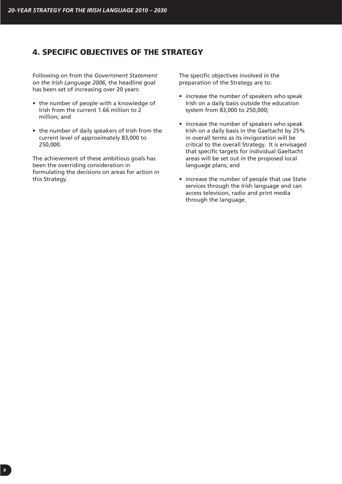# **4. SPECIFIC OBJECTIVES OF THE STRATEGY**

Following on from the *Government Statement on the Irish Language 2006*, the headline goal has been set of increasing over 20 years:

- the number of people with a knowledge of Irish from the current 1.66 million to 2 million; and
- the number of daily speakers of Irish from the current level of approximately 83,000 to 250,000.

The achievement of these ambitious goals has been the overriding consideration in formulating the decisions on areas for action in this Strategy.

The specific objectives involved in the preparation of the Strategy are to:

- increase the number of speakers who speak Irish on a daily basis outside the education system from 83,000 to 250,000;
- increase the number of speakers who speak Irish on a daily basis in the Gaeltacht by 25% in overall terms as its invigoration will be critical to the overall Strategy. It is envisaged that specific targets for individual Gaeltacht areas will be set out in the proposed local language plans; and
- increase the number of people that use State services through the Irish language and can access television, radio and print media through the language.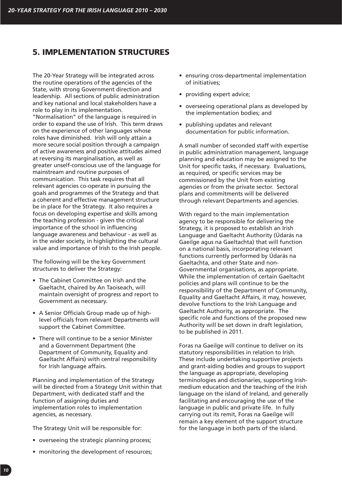# **5. IMPLEMENTATION STRUCTURES**

The 20-Year Strategy will be integrated across the routine operations of the agencies of the State, with strong Government direction and leadership. All sections of public administration and key national and local stakeholders have a role to play in its implementation.

"Normalisation" of the language is required in order to expand the use of Irish. This term draws on the experience of other languages whose roles have diminished. Irish will only attain a more secure social position through a campaign of active awareness and positive attitudes aimed at reversing its marginalisation, as well as greater unself-conscious use of the language for mainstream and routine purposes of communication. This task requires that all relevant agencies co-operate in pursuing the goals and programmes of the Strategy and that a coherent and effective management structure be in place for the Strategy. It also requires a focus on developing expertise and skills among the teaching profession - given the critical importance of the school in influencing language awareness and behaviour - as well as in the wider society, in highlighting the cultural value and importance of Irish to the Irish people.

The following will be the key Government structures to deliver the Strategy:

- The Cabinet Committee on Irish and the Gaeltacht, chaired by An Taoiseach, will maintain oversight of progress and report to Government as necessary.
- A Senior Officials Group made up of highlevel officials from relevant Departments will support the Cabinet Committee.
- There will continue to be a senior Minister and a Government Department (the Department of Community, Equality and Gaeltacht Affairs) with central responsibility for Irish language affairs.

Planning and implementation of the Strategy will be directed from a Strategy Unit within that Department, with dedicated staff and the function of assigning duties and implementation roles to implementation agencies, as necessary.

The Strategy Unit will be responsible for:

- overseeing the strategic planning process;
- monitoring the development of resources;
- ensuring cross-departmental implementation of initiatives;
- providing expert advice;
- overseeing operational plans as developed by the implementation bodies; and
- publishing updates and relevant documentation for public information.

A small number of seconded staff with expertise in public administration management, language planning and education may be assigned to the Unit for specific tasks, if necessary. Evaluations, as required, or specific services may be commissioned by the Unit from existing agencies or from the private sector. Sectoral plans and commitments will be delivered through relevant Departments and agencies.

With regard to the main implementation agency to be responsible for delivering the Strategy, it is proposed to establish an Irish Language and Gaeltacht Authority (Údarás na Gaeilge agus na Gaeltachta) that will function on a national basis, incorporating relevant functions currently performed by Údarás na Gaeltachta, and other State and non-Governmental organisations, as appropriate. While the implementation of certain Gaeltacht policies and plans will continue to be the responsibility of the Department of Community, Equality and Gaeltacht Affairs, it may, however, devolve functions to the Irish Language and Gaeltacht Authority, as appropriate. The specific role and functions of the proposed new Authority will be set down in draft legislation, to be published in 2011.

Foras na Gaeilge will continue to deliver on its statutory responsibilities in relation to Irish. These include undertaking supportive projects and grant-aiding bodies and groups to support the language as appropriate, developing terminologies and dictionaries, supporting Irishmedium education and the teaching of the Irish language on the island of Ireland, and generally facilitating and encouraging the use of the language in public and private life. In fully carrying out its remit, Foras na Gaeilge will remain a key element of the support structure for the language in both parts of the island.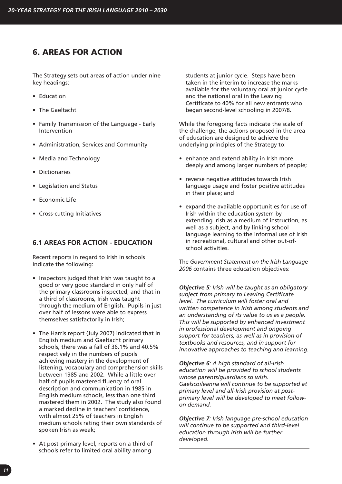# **6. AREAS FOR ACTION**

The Strategy sets out areas of action under nine key headings:

- Education
- The Gaeltacht
- Family Transmission of the Language Early Intervention
- Administration, Services and Community
- Media and Technology
- Dictionaries
- Legislation and Status
- Economic Life
- Cross-cutting Initiatives

# **6.1 AREAS FOR ACTION - EDUCATION**

Recent reports in regard to Irish in schools indicate the following:

- Inspectors judged that Irish was taught to a good or very good standard in only half of the primary classrooms inspected, and that in a third of classrooms, Irish was taught through the medium of English. Pupils in just over half of lessons were able to express themselves satisfactorily in Irish;
- The Harris report (July 2007) indicated that in English medium and Gaeltacht primary schools, there was a fall of 36.1% and 40.5% respectively in the numbers of pupils achieving mastery in the development of listening, vocabulary and comprehension skills between 1985 and 2002. While a little over half of pupils mastered fluency of oral description and communication in 1985 in English medium schools, less than one third mastered them in 2002. The study also found a marked decline in teachers' confidence, with almost 25% of teachers in English medium schools rating their own standards of spoken Irish as weak;
- At post-primary level, reports on a third of schools refer to limited oral ability among

students at junior cycle. Steps have been taken in the interim to increase the marks available for the voluntary oral at junior cycle and the national oral in the Leaving Certificate to 40% for all new entrants who began second-level schooling in 2007/8.

While the foregoing facts indicate the scale of the challenge, the actions proposed in the area of education are designed to achieve the underlying principles of the Strategy to:

- enhance and extend ability in Irish more deeply and among larger numbers of people;
- reverse negative attitudes towards Irish language usage and foster positive attitudes in their place; and
- expand the available opportunities for use of Irish within the education system by extending Irish as a medium of instruction, as well as a subject, and by linking school language learning to the informal use of Irish in recreational, cultural and other out-ofschool activities.

The *Government Statement on the Irish Language 2006* contains three education objectives:

*Objective 5: Irish will be taught as an obligatory subject from primary to Leaving Certificate level. The curriculum will foster oral and written competence in Irish among students and an understanding of its value to us as a people. This will be supported by enhanced investment in professional development and ongoing support for teachers, as well as in provision of textbooks and resources, and in support for innovative approaches to teaching and learning.* 

*Objective 6: A high standard of all-Irish education will be provided to school students whose parents/guardians so wish. Gaelscoileanna will continue to be supported at primary level and all-Irish provision at postprimary level will be developed to meet followon demand.* 

*Objective 7: Irish language pre-school education will continue to be supported and third-level education through Irish will be further developed.*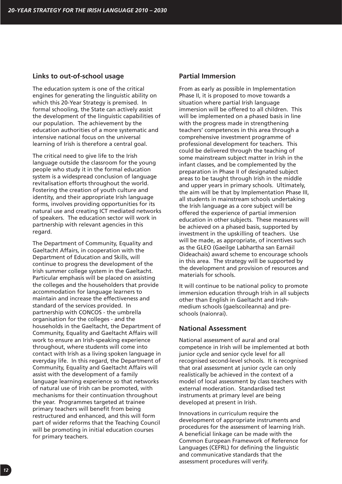# **Links to out-of-school usage**

The education system is one of the critical engines for generating the linguistic ability on which this 20-Year Strategy is premised. In formal schooling, the State can actively assist the development of the linguistic capabilities of our population. The achievement by the education authorities of a more systematic and intensive national focus on the universal learning of Irish is therefore a central goal.

The critical need to give life to the Irish language outside the classroom for the young people who study it in the formal education system is a widespread conclusion of language revitalisation efforts throughout the world. Fostering the creation of youth culture and identity, and their appropriate Irish language forms, involves providing opportunities for its natural use and creating ICT mediated networks of speakers. The education sector will work in partnership with relevant agencies in this regard.

The Department of Community, Equality and Gaeltacht Affairs, in cooperation with the Department of Education and Skills, will continue to progress the development of the Irish summer college system in the Gaeltacht. Particular emphasis will be placed on assisting the colleges and the householders that provide accommodation for language learners to maintain and increase the effectiveness and standard of the services provided. In partnership with CONCOS - the umbrella organisation for the colleges - and the households in the Gaeltacht, the Department of Community, Equality and Gaeltacht Affairs will work to ensure an Irish-speaking experience throughout, where students will come into contact with Irish as a living spoken language in everyday life. In this regard, the Department of Community, Equality and Gaeltacht Affairs will assist with the development of a family language learning experience so that networks of natural use of Irish can be promoted, with mechanisms for their continuation throughout the year. Programmes targeted at trainee primary teachers will benefit from being restructured and enhanced, and this will form part of wider reforms that the Teaching Council will be promoting in initial education courses for primary teachers.

#### **Partial Immersion**

From as early as possible in Implementation Phase II, it is proposed to move towards a situation where partial Irish language immersion will be offered to all children. This will be implemented on a phased basis in line with the progress made in strengthening teachers' competences in this area through a comprehensive investment programme of professional development for teachers. This could be delivered through the teaching of some mainstream subject matter in Irish in the infant classes, and be complemented by the preparation in Phase II of designated subject areas to be taught through Irish in the middle and upper years in primary schools. Ultimately, the aim will be that by Implementation Phase III, all students in mainstream schools undertaking the Irish language as a core subject will be offered the experience of partial immersion education in other subjects. These measures will be achieved on a phased basis, supported by investment in the upskilling of teachers. Use will be made, as appropriate, of incentives such as the GLEO (Gaeilge Labhartha san Earnáil Oideachais) award scheme to encourage schools in this area. The strategy will be supported by the development and provision of resources and materials for schools.

It will continue to be national policy to promote immersion education through Irish in all subjects other than English in Gaeltacht and Irishmedium schools (gaelscoileanna) and preschools (naíonraí).

# **National Assessment**

National assessment of aural and oral competence in Irish will be implemented at both junior cycle and senior cycle level for all recognised second-level schools. It is recognised that oral assessment at junior cycle can only realistically be achieved in the context of a model of local assessment by class teachers with external moderation. Standardised test instruments at primary level are being developed at present in Irish.

Innovations in curriculum require the development of appropriate instruments and procedures for the assessment of learning Irish. A beneficial linkage can be made with the Common European Framework of Reference for Languages (CEFRL) for defining the linguistic and communicative standards that the assessment procedures will verify.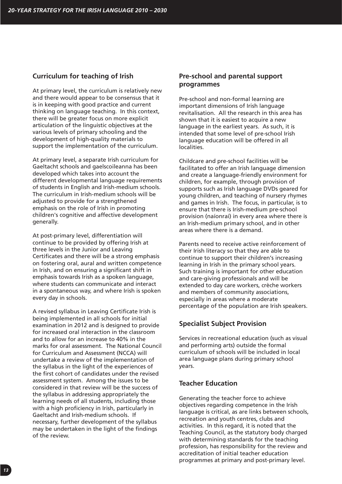# **Curriculum for teaching of Irish**

At primary level, the curriculum is relatively new and there would appear to be consensus that it is in keeping with good practice and current thinking on language teaching. In this context, there will be greater focus on more explicit articulation of the linguistic objectives at the various levels of primary schooling and the development of high-quality materials to support the implementation of the curriculum.

At primary level, a separate Irish curriculum for Gaeltacht schools and gaelscoileanna has been developed which takes into account the different developmental language requirements of students in English and Irish-medium schools. The curriculum in Irish-medium schools will be adjusted to provide for a strengthened emphasis on the role of Irish in promoting children's cognitive and affective development generally.

At post-primary level, differentiation will continue to be provided by offering Irish at three levels in the Junior and Leaving Certificates and there will be a strong emphasis on fostering oral, aural and written competence in Irish, and on ensuring a significant shift in emphasis towards Irish as a spoken language, where students can communicate and interact in a spontaneous way, and where Irish is spoken every day in schools.

A revised syllabus in Leaving Certificate Irish is being implemented in all schools for initial examination in 2012 and is designed to provide for increased oral interaction in the classroom and to allow for an increase to 40% in the marks for oral assessment. The National Council for Curriculum and Assessment (NCCA) will undertake a review of the implementation of the syllabus in the light of the experiences of the first cohort of candidates under the revised assessment system. Among the issues to be considered in that review will be the success of the syllabus in addressing appropriately the learning needs of all students, including those with a high proficiency in Irish, particularly in Gaeltacht and Irish-medium schools. If necessary, further development of the syllabus may be undertaken in the light of the findings of the review.

# **Pre-school and parental support programmes**

Pre-school and non-formal learning are important dimensions of Irish language revitalisation. All the research in this area has shown that it is easiest to acquire a new language in the earliest years. As such, it is intended that some level of pre-school Irish language education will be offered in all localities.

Childcare and pre-school facilities will be facilitated to offer an Irish language dimension and create a language-friendly environment for children, for example, through provision of supports such as Irish language DVDs geared for young children, and teaching of nursery rhymes and games in Irish. The focus, in particular, is to ensure that there is Irish-medium pre-school provision (naíonraí) in every area where there is an Irish-medium primary school, and in other areas where there is a demand.

Parents need to receive active reinforcement of their Irish literacy so that they are able to continue to support their children's increasing learning in Irish in the primary school years. Such training is important for other education and care-giving professionals and will be extended to day care workers, crèche workers and members of community associations, especially in areas where a moderate percentage of the population are Irish speakers.

# **Specialist Subject Provision**

Services in recreational education (such as visual and performing arts) outside the formal curriculum of schools will be included in local area language plans during primary school years.

# **Teacher Education**

Generating the teacher force to achieve objectives regarding competence in the Irish language is critical, as are links between schools, recreation and youth centres, clubs and activities. In this regard, it is noted that the Teaching Council, as the statutory body charged with determining standards for the teaching profession, has responsibility for the review and accreditation of initial teacher education programmes at primary and post-primary level.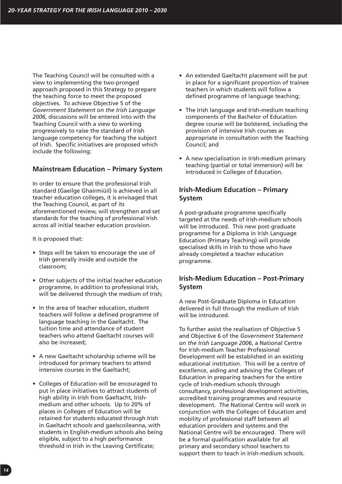The Teaching Council will be consulted with a view to implementing the two-pronged approach proposed in this Strategy to prepare the teaching force to meet the proposed objectives. To achieve Objective 5 of the *Government Statement on the Irish Language 2006*, discussions will be entered into with the Teaching Council with a view to working progressively to raise the standard of Irish language competency for teaching the subject of Irish. Specific initiatives are proposed which include the following:

# **Mainstream Education – Primary System**

In order to ensure that the professional Irish standard (Gaeilge Ghairmiúil) is achieved in all teacher education colleges, it is envisaged that the Teaching Council, as part of its aforementioned review, will strengthen and set standards for the teaching of professional Irish across all initial teacher education provision.

It is proposed that:

- Steps will be taken to encourage the use of Irish generally inside and outside the classroom;
- Other subjects of the initial teacher education programme, in addition to professional Irish, will be delivered through the medium of Irish;
- In the area of teacher education, student teachers will follow a defined programme of language teaching in the Gaeltacht. The tuition time and attendance of student teachers who attend Gaeltacht courses will also be increased;
- A new Gaeltacht scholarship scheme will be introduced for primary teachers to attend intensive courses in the Gaeltacht;
- Colleges of Education will be encouraged to put in place initiatives to attract students of high ability in Irish from Gaeltacht, Irishmedium and other schools. Up to 20% of places in Colleges of Education will be retained for students educated through Irish in Gaeltacht schools and gaelscoileanna, with students in English-medium schools also being eligible, subject to a high performance threshold in Irish in the Leaving Certificate;
- An extended Gaeltacht placement will be put in place for a significant proportion of trainee teachers in which students will follow a defined programme of language teaching;
- The Irish language and Irish-medium teaching components of the Bachelor of Education degree course will be bolstered, including the provision of intensive Irish courses as appropriate in consultation with the Teaching Council; and
- A new specialisation in Irish-medium primary teaching (partial or total immersion) will be introduced in Colleges of Education.

# **Irish-Medium Education – Primary System**

A post-graduate programme specifically targeted at the needs of Irish-medium schools will be introduced. This new post-graduate programme for a Diploma in Irish Language Education (Primary Teaching) will provide specialised skills in Irish to those who have already completed a teacher education programme.

# **Irish-Medium Education – Post-Primary System**

A new Post-Graduate Diploma in Education delivered in full through the medium of Irish will be introduced.

To further assist the realisation of Objective 5 and Objective 6 of the *Government Statement on the Irish Language 2006*, a National Centre for Irish-medium Teacher Professional Development will be established in an existing educational institution. This will be a centre of excellence, aiding and advising the Colleges of Education in preparing teachers for the entire cycle of Irish-medium schools through consultancy, professional development activities, accredited training programmes and resource development. The National Centre will work in conjunction with the Colleges of Education and mobility of professional staff between all education providers and systems and the National Centre will be encouraged. There will be a formal qualification available for all primary and secondary school teachers to support them to teach in Irish-medium schools.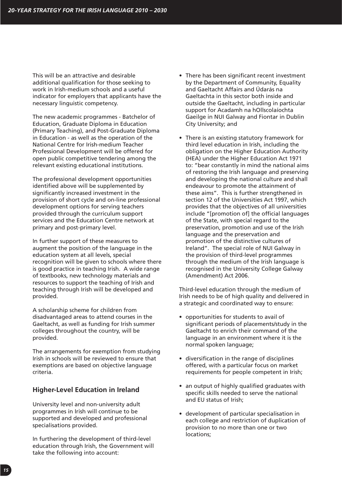This will be an attractive and desirable additional qualification for those seeking to work in Irish-medium schools and a useful indicator for employers that applicants have the necessary linguistic competency.

The new academic programmes - Batchelor of Education, Graduate Diploma in Education (Primary Teaching), and Post-Graduate Diploma in Education - as well as the operation of the National Centre for Irish-medium Teacher Professional Development will be offered for open public competitive tendering among the relevant existing educational institutions.

The professional development opportunities identified above will be supplemented by significantly increased investment in the provision of short cycle and on-line professional development options for serving teachers provided through the curriculum support services and the Education Centre network at primary and post-primary level.

In further support of these measures to augment the position of the language in the education system at all levels, special recognition will be given to schools where there is good practice in teaching Irish. A wide range of textbooks, new technology materials and resources to support the teaching of Irish and teaching through Irish will be developed and provided.

A scholarship scheme for children from disadvantaged areas to attend courses in the Gaeltacht, as well as funding for Irish summer colleges throughout the country, will be provided.

The arrangements for exemption from studying Irish in schools will be reviewed to ensure that exemptions are based on objective language criteria.

### **Higher-Level Education in Ireland**

University level and non-university adult programmes in Irish will continue to be supported and developed and professional specialisations provided.

In furthering the development of third-level education through Irish, the Government will take the following into account:

- There has been significant recent investment by the Department of Community, Equality and Gaeltacht Affairs and Údarás na Gaeltachta in this sector both inside and outside the Gaeltacht, including in particular support for Acadamh na hOllscolaíochta Gaeilge in NUI Galway and Fiontar in Dublin City University; and
- There is an existing statutory framework for third level education in Irish, including the obligation on the Higher Education Authority (HEA) under the Higher Education Act 1971 to: "bear constantly in mind the national aims of restoring the Irish language and preserving and developing the national culture and shall endeavour to promote the attainment of these aims". This is further strengthened in section 12 of the Universities Act 1997, which provides that the objectives of all universities include "[promotion of] the official languages of the State, with special regard to the preservation, promotion and use of the Irish language and the preservation and promotion of the distinctive cultures of Ireland". The special role of NUI Galway in the provision of third-level programmes through the medium of the Irish language is recognised in the University College Galway (Amendment) Act 2006.

Third-level education through the medium of Irish needs to be of high quality and delivered in a strategic and coordinated way to ensure:

- opportunities for students to avail of significant periods of placements/study in the Gaeltacht to enrich their command of the language in an environment where it is the normal spoken language;
- diversification in the range of disciplines offered, with a particular focus on market requirements for people competent in Irish;
- an output of highly qualified graduates with specific skills needed to serve the national and EU status of Irish;
- development of particular specialisation in each college and restriction of duplication of provision to no more than one or two locations;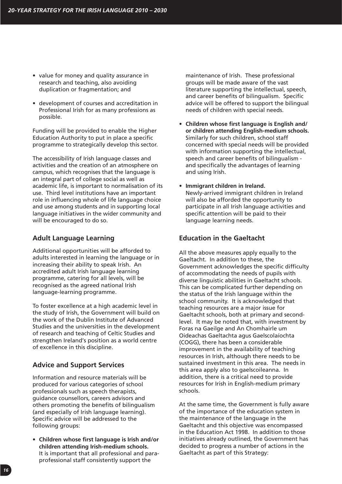- value for money and quality assurance in research and teaching, also avoiding duplication or fragmentation; and
- development of courses and accreditation in Professional Irish for as many professions as possible.

Funding will be provided to enable the Higher Education Authority to put in place a specific programme to strategically develop this sector.

The accessibility of Irish language classes and activities and the creation of an atmosphere on campus, which recognises that the language is an integral part of college social as well as academic life, is important to normalisation of its use. Third level institutions have an important role in influencing whole of life language choice and use among students and in supporting local language initiatives in the wider community and will be encouraged to do so.

# **Adult Language Learning**

Additional opportunities will be afforded to adults interested in learning the language or in increasing their ability to speak Irish. An accredited adult Irish language learning programme, catering for all levels, will be recognised as the agreed national Irish language-learning programme.

To foster excellence at a high academic level in the study of Irish, the Government will build on the work of the Dublin Institute of Advanced Studies and the universities in the development of research and teaching of Celtic Studies and strengthen Ireland's position as a world centre of excellence in this discipline.

# **Advice and Support Services**

Information and resource materials will be produced for various categories of school professionals such as speech therapists, guidance counsellors, careers advisors and others promoting the benefits of bilingualism (and especially of Irish language learning). Specific advice will be addressed to the following groups:

• **Children whose first language is Irish and/or children attending Irish-medium schools.** It is important that all professional and paraprofessional staff consistently support the

maintenance of Irish. These professional groups will be made aware of the vast literature supporting the intellectual, speech, and career benefits of bilingualism. Specific advice will be offered to support the bilingual needs of children with special needs.

- **Children whose first language is English and/ or children attending English-medium schools.** Similarly for such children, school staff concerned with special needs will be provided with information supporting the intellectual, speech and career benefits of bilingualism and specifically the advantages of learning and using Irish.
- **Immigrant children in Ireland.** Newly-arrived immigrant children in Ireland will also be afforded the opportunity to participate in all Irish language activities and specific attention will be paid to their language learning needs.

# **Education in the Gaeltacht**

All the above measures apply equally to the Gaeltacht. In addition to these, the Government acknowledges the specific difficulty of accommodating the needs of pupils with diverse linguistic abilities in Gaeltacht schools. This can be complicated further depending on the status of the Irish language within the school community. It is acknowledged that teaching resources are a major issue for Gaeltacht schools, both at primary and secondlevel. It may be noted that, with investment by Foras na Gaeilge and An Chomhairle um Oideachas Gaeltachta agus Gaelscolaíochta (COGG), there has been a considerable improvement in the availability of teaching resources in Irish, although there needs to be sustained investment in this area. The needs in this area apply also to gaelscoileanna. In addition, there is a critical need to provide resources for Irish in English-medium primary schools.

At the same time, the Government is fully aware of the importance of the education system in the maintenance of the language in the Gaeltacht and this objective was encompassed in the Education Act 1998. In addition to those initiatives already outlined, the Government has decided to progress a number of actions in the Gaeltacht as part of this Strategy: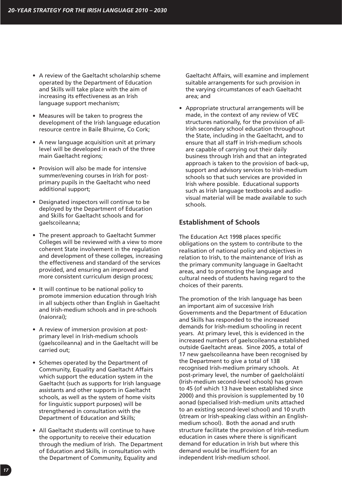- A review of the Gaeltacht scholarship scheme operated by the Department of Education and Skills will take place with the aim of increasing its effectiveness as an Irish language support mechanism;
- Measures will be taken to progress the development of the Irish language education resource centre in Baile Bhuirne, Co Cork;
- A new language acquisition unit at primary level will be developed in each of the three main Gaeltacht regions;
- Provision will also be made for intensive summer/evening courses in Irish for postprimary pupils in the Gaeltacht who need additional support;
- Designated inspectors will continue to be deployed by the Department of Education and Skills for Gaeltacht schools and for gaelscoileanna;
- The present approach to Gaeltacht Summer Colleges will be reviewed with a view to more coherent State involvement in the regulation and development of these colleges, increasing the effectiveness and standard of the services provided, and ensuring an improved and more consistent curriculum design process;
- It will continue to be national policy to promote immersion education through Irish in all subjects other than English in Gaeltacht and Irish-medium schools and in pre-schools (naíonraí);
- A review of immersion provision at postprimary level in Irish-medium schools (gaelscoileanna) and in the Gaeltacht will be carried out;
- Schemes operated by the Department of Community, Equality and Gaeltacht Affairs which support the education system in the Gaeltacht (such as supports for Irish language assistants and other supports in Gaeltacht schools, as well as the system of home visits for linguistic support purposes) will be strengthened in consultation with the Department of Education and Skills;
- All Gaeltacht students will continue to have the opportunity to receive their education through the medium of Irish. The Department of Education and Skills, in consultation with the Department of Community, Equality and

Gaeltacht Affairs, will examine and implement suitable arrangements for such provision in the varying circumstances of each Gaeltacht area; and

• Appropriate structural arrangements will be made, in the context of any review of VEC structures nationally, for the provision of all-Irish secondary school education throughout the State, including in the Gaeltacht, and to ensure that all staff in Irish-medium schools are capable of carrying out their daily business through Irish and that an integrated approach is taken to the provision of back-up, support and advisory services to Irish-medium schools so that such services are provided in Irish where possible. Educational supports such as Irish language textbooks and audiovisual material will be made available to such schools.

# **Establishment of Schools**

The Education Act 1998 places specific obligations on the system to contribute to the realisation of national policy and objectives in relation to Irish, to the maintenance of Irish as the primary community language in Gaeltacht areas, and to promoting the language and cultural needs of students having regard to the choices of their parents.

The promotion of the Irish language has been an important aim of successive Irish Governments and the Department of Education and Skills has responded to the increased demands for Irish-medium schooling in recent years. At primary level, this is evidenced in the increased numbers of gaelscoileanna established outside Gaeltacht areas. Since 2005, a total of 17 new gaelscoileanna have been recognised by the Department to give a total of 138 recognised Irish-medium primary schools. At post-primary level, the number of gaelcholáistí (Irish-medium second-level schools) has grown to 45 (of which 13 have been established since 2000) and this provision is supplemented by 10 aonad (specialised Irish-medium units attached to an existing second-level school) and 10 sruth (stream or Irish-speaking class within an Englishmedium school). Both the aonad and sruth structure facilitate the provision of Irish-medium education in cases where there is significant demand for education in Irish but where this demand would be insufficient for an independent Irish-medium school.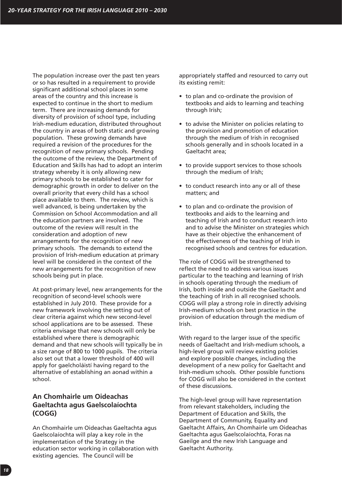The population increase over the past ten years or so has resulted in a requirement to provide significant additional school places in some areas of the country and this increase is expected to continue in the short to medium term. There are increasing demands for diversity of provision of school type, including Irish-medium education, distributed throughout the country in areas of both static and growing population. These growing demands have required a revision of the procedures for the recognition of new primary schools. Pending the outcome of the review, the Department of Education and Skills has had to adopt an interim strategy whereby it is only allowing new primary schools to be established to cater for demographic growth in order to deliver on the overall priority that every child has a school place available to them. The review, which is well advanced, is being undertaken by the Commission on School Accommodation and all the education partners are involved. The outcome of the review will result in the consideration and adoption of new arrangements for the recognition of new primary schools. The demands to extend the provision of Irish-medium education at primary level will be considered in the context of the new arrangements for the recognition of new schools being put in place.

At post-primary level, new arrangements for the recognition of second-level schools were established in July 2010. These provide for a new framework involving the setting out of clear criteria against which new second-level school applications are to be assessed. These criteria envisage that new schools will only be established where there is demographic demand and that new schools will typically be in a size range of 800 to 1000 pupils. The criteria also set out that a lower threshold of 400 will apply for gaelcholáistí having regard to the alternative of establishing an aonad within a school.

# **An Chomhairle um Oideachas Gaeltachta agus Gaelscolaíochta (COGG)**

An Chomhairle um Oideachas Gaeltachta agus Gaelscolaíochta will play a key role in the implementation of the Strategy in the education sector working in collaboration with existing agencies. The Council will be

appropriately staffed and resourced to carry out its existing remit:

- to plan and co-ordinate the provision of textbooks and aids to learning and teaching through Irish;
- to advise the Minister on policies relating to the provision and promotion of education through the medium of Irish in recognised schools generally and in schools located in a Gaeltacht area;
- to provide support services to those schools through the medium of Irish;
- to conduct research into any or all of these matters; and
- to plan and co-ordinate the provision of textbooks and aids to the learning and teaching of Irish and to conduct research into and to advise the Minister on strategies which have as their objective the enhancement of the effectiveness of the teaching of Irish in recognised schools and centres for education.

The role of COGG will be strengthened to reflect the need to address various issues particular to the teaching and learning of Irish in schools operating through the medium of Irish, both inside and outside the Gaeltacht and the teaching of Irish in all recognised schools. COGG will play a strong role in directly advising Irish-medium schools on best practice in the provision of education through the medium of Irish.

With regard to the larger issue of the specific needs of Gaeltacht and Irish-medium schools, a high-level group will review existing policies and explore possible changes, including the development of a new policy for Gaeltacht and Irish-medium schools. Other possible functions for COGG will also be considered in the context of these discussions.

The high-level group will have representation from relevant stakeholders, including the Department of Education and Skills, the Department of Community, Equality and Gaeltacht Affairs, An Chomhairle um Oideachas Gaeltachta agus Gaelscolaíochta, Foras na Gaeilge and the new Irish Language and Gaeltacht Authority.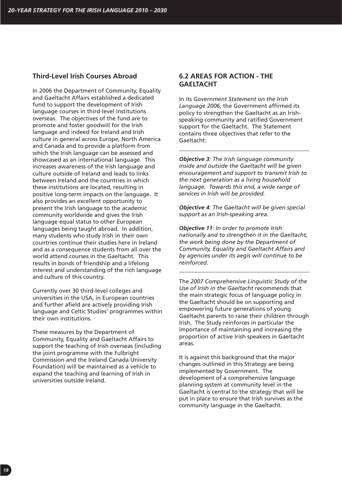# **Third-Level Irish Courses Abroad**

In 2006 the Department of Community, Equality and Gaeltacht Affairs established a dedicated fund to support the development of Irish language courses in third-level institutions overseas. The objectives of the fund are to promote and foster goodwill for the Irish language and indeed for Ireland and Irish culture in general across Europe, North America and Canada and to provide a platform from which the Irish language can be assessed and showcased as an international language. This increases awareness of the Irish language and culture outside of Ireland and leads to links between Ireland and the countries in which these institutions are located, resulting in positive long-term impacts on the language. It also provides an excellent opportunity to present the Irish language to the academic community worldwide and gives the Irish language equal status to other European languages being taught abroad. In addition, many students who study Irish in their own countries continue their studies here in Ireland and as a consequence students from all over the world attend courses in the Gaeltacht. This results in bonds of friendship and a lifelong interest and understanding of the rich language and culture of this country.

Currently over 30 third-level colleges and universities in the USA, in European countries and further afield are actively providing Irish language and Celtic Studies' programmes within their own institutions.

These measures by the Department of Community, Equality and Gaeltacht Affairs to support the teaching of Irish overseas (including the joint programme with the Fulbright Commission and the Ireland Canada University Foundation) will be maintained as a vehicle to expand the teaching and learning of Irish in universities outside Ireland.

# **6.2 AREAS FOR ACTION - THE GAELTACHT**

In its *Government Statement on the Irish Language 2006*, the Government affirmed its policy to strengthen the Gaeltacht as an Irishspeaking community and ratified Government support for the Gaeltacht. The Statement contains three objectives that refer to the Gaeltacht:

*Objective 3: The Irish language community inside and outside the Gaeltacht will be given encouragement and support to transmit Irish to the next generation as a living household language. Towards this end, a wide range of services in Irish will be provided.* 

*Objective 4: The Gaeltacht will be given special support as an Irish-speaking area.*

*Objective 11: In order to promote Irish nationally and to strengthen it in the Gaeltacht, the work being done by the Department of Community, Equality and Gaeltacht Affairs and by agencies under its aegis will continue to be reinforced.*

The *2007 Comprehensive Linguistic Study of the Use of Irish in the Gaeltacht* recommends that the main strategic focus of language policy in the Gaeltacht should be on supporting and empowering future generations of young Gaeltacht parents to raise their children through Irish. The Study reinforces in particular the importance of maintaining and increasing the proportion of active Irish speakers in Gaeltacht areas.

It is against this background that the major changes outlined in this Strategy are being implemented by Government. The development of a comprehensive language planning system at community level in the Gaeltacht is central to the strategy that will be put in place to ensure that Irish survives as the community language in the Gaeltacht.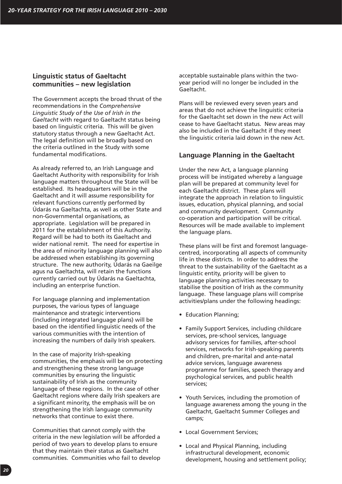# **Linguistic status of Gaeltacht communities – new legislation**

The Government accepts the broad thrust of the recommendations in the *Comprehensive Linguistic Study of the Use of Irish in the Gaeltacht* with regard to Gaeltacht status being based on linguistic criteria. This will be given statutory status through a new Gaeltacht Act. The legal definition will be broadly based on the criteria outlined in the Study with some fundamental modifications.

As already referred to, an Irish Language and Gaeltacht Authority with responsibility for Irish language matters throughout the State will be established. Its headquarters will be in the Gaeltacht and it will assume responsibility for relevant functions currently performed by Údarás na Gaeltachta, as well as other State and non-Governmental organisations, as appropriate. Legislation will be prepared in 2011 for the establishment of this Authority. Regard will be had to both its Gaeltacht and wider national remit. The need for expertise in the area of minority language planning will also be addressed when establishing its governing structure. The new authority, Údarás na Gaeilge agus na Gaeltachta, will retain the functions currently carried out by Údarás na Gaeltachta, including an enterprise function.

For language planning and implementation purposes, the various types of language maintenance and strategic interventions (including integrated language plans) will be based on the identified linguistic needs of the various communities with the intention of increasing the numbers of daily Irish speakers.

In the case of majority Irish-speaking communities, the emphasis will be on protecting and strengthening these strong language communities by ensuring the linguistic sustainability of Irish as the community language of these regions. In the case of other Gaeltacht regions where daily Irish speakers are a significant minority, the emphasis will be on strengthening the Irish language community networks that continue to exist there.

Communities that cannot comply with the criteria in the new legislation will be afforded a period of two years to develop plans to ensure that they maintain their status as Gaeltacht communities. Communities who fail to develop

acceptable sustainable plans within the twoyear period will no longer be included in the Gaeltacht.

Plans will be reviewed every seven years and areas that do not achieve the linguistic criteria for the Gaeltacht set down in the new Act will cease to have Gaeltacht status. New areas may also be included in the Gaeltacht if they meet the linguistic criteria laid down in the new Act.

# **Language Planning in the Gaeltacht**

Under the new Act, a language planning process will be instigated whereby a language plan will be prepared at community level for each Gaeltacht district. These plans will integrate the approach in relation to linguistic issues, education, physical planning, and social and community development. Community co-operation and participation will be critical. Resources will be made available to implement the language plans.

These plans will be first and foremost languagecentred, incorporating all aspects of community life in these districts. In order to address the threat to the sustainability of the Gaeltacht as a linguistic entity, priority will be given to language planning activities necessary to stabilise the position of Irish as the community language. These language plans will comprise activities/plans under the following headings:

- Education Planning;
- Family Support Services, including childcare services, pre-school services, language advisory services for families, after-school services, networks for Irish-speaking parents and children, pre-marital and ante-natal advice services, language awareness programme for families, speech therapy and psychological services, and public health services;
- Youth Services, including the promotion of language awareness among the young in the Gaeltacht, Gaeltacht Summer Colleges and camps;
- Local Government Services;
- Local and Physical Planning, including infrastructural development, economic development, housing and settlement policy;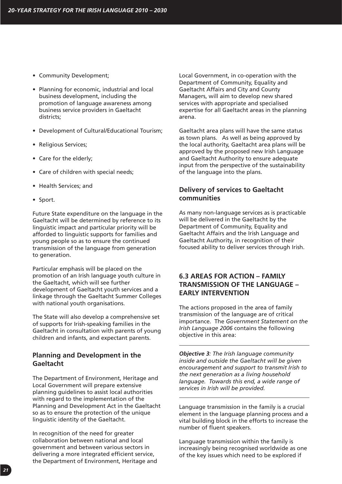- Community Development;
- Planning for economic, industrial and local business development, including the promotion of language awareness among business service providers in Gaeltacht districts;
- Development of Cultural/Educational Tourism;
- Religious Services;
- Care for the elderly;
- Care of children with special needs;
- Health Services; and
- Sport.

Future State expenditure on the language in the Gaeltacht will be determined by reference to its linguistic impact and particular priority will be afforded to linguistic supports for families and young people so as to ensure the continued transmission of the language from generation to generation.

Particular emphasis will be placed on the promotion of an Irish language youth culture in the Gaeltacht, which will see further development of Gaeltacht youth services and a linkage through the Gaeltacht Summer Colleges with national youth organisations.

The State will also develop a comprehensive set of supports for Irish-speaking families in the Gaeltacht in consultation with parents of young children and infants, and expectant parents.

# **Planning and Development in the Gaeltacht**

The Department of Environment, Heritage and Local Government will prepare extensive planning guidelines to assist local authorities with regard to the implementation of the Planning and Development Act in the Gaeltacht so as to ensure the protection of the unique linguistic identity of the Gaeltacht.

In recognition of the need for greater collaboration between national and local government and between various sectors in delivering a more integrated efficient service, the Department of Environment, Heritage and Local Government, in co-operation with the Department of Community, Equality and Gaeltacht Affairs and City and County Managers, will aim to develop new shared services with appropriate and specialised expertise for all Gaeltacht areas in the planning arena.

Gaeltacht area plans will have the same status as town plans. As well as being approved by the local authority, Gaeltacht area plans will be approved by the proposed new Irish Language and Gaeltacht Authority to ensure adequate input from the perspective of the sustainability of the language into the plans.

# **Delivery of services to Gaeltacht communities**

As many non-language services as is practicable will be delivered in the Gaeltacht by the Department of Community, Equality and Gaeltacht Affairs and the Irish Language and Gaeltacht Authority, in recognition of their focused ability to deliver services through Irish.

# **6.3 AREAS FOR ACTION – FAMILY TRANSMISSION OF THE LANGUAGE – EARLY INTERVENTION**

The actions proposed in the area of family transmission of the language are of critical importance. The *Government Statement on the Irish Language 2006* contains the following objective in this area:

*Objective 3: The Irish language community inside and outside the Gaeltacht will be given encouragement and support to transmit Irish to the next generation as a living household language. Towards this end, a wide range of services in Irish will be provided.* 

Language transmission in the family is a crucial element in the language planning process and a vital building block in the efforts to increase the number of fluent speakers.

Language transmission within the family is increasingly being recognised worldwide as one of the key issues which need to be explored if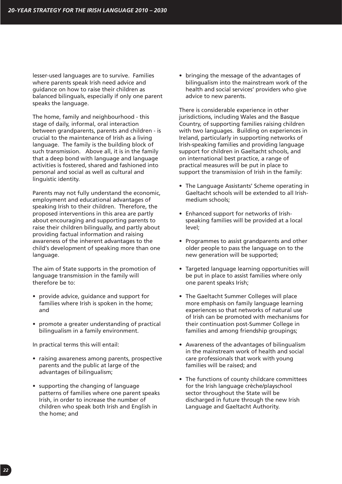lesser-used languages are to survive. Families where parents speak Irish need advice and guidance on how to raise their children as balanced bilinguals, especially if only one parent speaks the language.

The home, family and neighbourhood - this stage of daily, informal, oral interaction between grandparents, parents and children - is crucial to the maintenance of Irish as a living language. The family is the building block of such transmission. Above all, it is in the family that a deep bond with language and language activities is fostered, shared and fashioned into personal and social as well as cultural and linguistic identity.

Parents may not fully understand the economic, employment and educational advantages of speaking Irish to their children. Therefore, the proposed interventions in this area are partly about encouraging and supporting parents to raise their children bilingually, and partly about providing factual information and raising awareness of the inherent advantages to the child's development of speaking more than one language.

The aim of State supports in the promotion of language transmission in the family will therefore be to:

- provide advice, guidance and support for families where Irish is spoken in the home; and
- promote a greater understanding of practical bilingualism in a family environment.

In practical terms this will entail:

- raising awareness among parents, prospective parents and the public at large of the advantages of bilingualism;
- supporting the changing of language patterns of families where one parent speaks Irish, in order to increase the number of children who speak both Irish and English in the home; and

• bringing the message of the advantages of bilingualism into the mainstream work of the health and social services' providers who give advice to new parents.

There is considerable experience in other jurisdictions, including Wales and the Basque Country, of supporting families raising children with two languages. Building on experiences in Ireland, particularly in supporting networks of Irish-speaking families and providing language support for children in Gaeltacht schools, and on international best practice, a range of practical measures will be put in place to support the transmission of Irish in the family:

- The Language Assistants' Scheme operating in Gaeltacht schools will be extended to all Irishmedium schools;
- Enhanced support for networks of Irishspeaking families will be provided at a local level;
- Programmes to assist grandparents and other older people to pass the language on to the new generation will be supported;
- Targeted language learning opportunities will be put in place to assist families where only one parent speaks Irish;
- The Gaeltacht Summer Colleges will place more emphasis on family language learning experiences so that networks of natural use of Irish can be promoted with mechanisms for their continuation post-Summer College in families and among friendship groupings;
- Awareness of the advantages of bilingualism in the mainstream work of health and social care professionals that work with young families will be raised; and
- The functions of county childcare committees for the Irish language crèche/playschool sector throughout the State will be discharged in future through the new Irish Language and Gaeltacht Authority.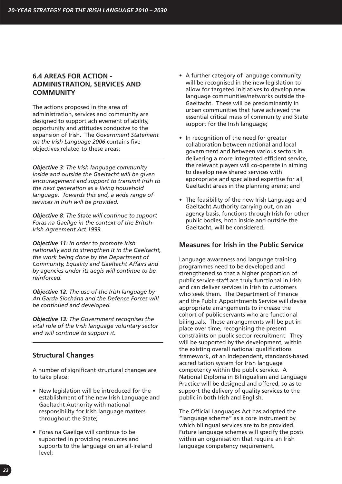# **6.4 AREAS FOR ACTION - ADMINISTRATION, SERVICES AND COMMUNITY**

The actions proposed in the area of administration, services and community are designed to support achievement of ability, opportunity and attitudes conducive to the expansion of Irish. The *Government Statement on the Irish Language 2006* contains five objectives related to these areas:

*Objective 3: The Irish language community inside and outside the Gaeltacht will be given encouragement and support to transmit Irish to the next generation as a living household language. Towards this end, a wide range of services in Irish will be provided.* 

*Objective 8: The State will continue to support Foras na Gaeilge in the context of the British-Irish Agreement Act 1999.*

*Objective 11: In order to promote Irish nationally and to strengthen it in the Gaeltacht, the work being done by the Department of Community, Equality and Gaeltacht Affairs and by agencies under its aegis will continue to be reinforced.*

*Objective 12: The use of the Irish language by An Garda Síochána and the Defence Forces will be continued and developed.*

*Objective 13: The Government recognises the vital role of the Irish language voluntary sector and will continue to support it.*

# **Structural Changes**

A number of significant structural changes are to take place:

- New legislation will be introduced for the establishment of the new Irish Language and Gaeltacht Authority with national responsibility for Irish language matters throughout the State;
- Foras na Gaeilge will continue to be supported in providing resources and supports to the language on an all-Ireland level;
- A further category of language community will be recognised in the new legislation to allow for targeted initiatives to develop new language communities/networks outside the Gaeltacht. These will be predominantly in urban communities that have achieved the essential critical mass of community and State support for the Irish language;
- In recognition of the need for greater collaboration between national and local government and between various sectors in delivering a more integrated efficient service, the relevant players will co-operate in aiming to develop new shared services with appropriate and specialised expertise for all Gaeltacht areas in the planning arena; and
- The feasibility of the new Irish Language and Gaeltacht Authority carrying out, on an agency basis, functions through Irish for other public bodies, both inside and outside the Gaeltacht, will be considered.

### **Measures for Irish in the Public Service**

Language awareness and language training programmes need to be developed and strengthened so that a higher proportion of public service staff are truly functional in Irish and can deliver services in Irish to customers who seek them. The Department of Finance and the Public Appointments Service will devise appropriate arrangements to increase the cohort of public servants who are functional bilinguals. These arrangements will be put in place over time, recognising the present constraints on public sector recruitment. They will be supported by the development, within the existing overall national qualifications framework, of an independent, standards-based accreditation system for Irish language competency within the public service. A National Diploma in Bilingualism and Language Practice will be designed and offered, so as to support the delivery of quality services to the public in both Irish and English.

The Official Languages Act has adopted the "language scheme" as a core instrument by which bilingual services are to be provided. Future language schemes will specify the posts within an organisation that require an Irish language competency requirement.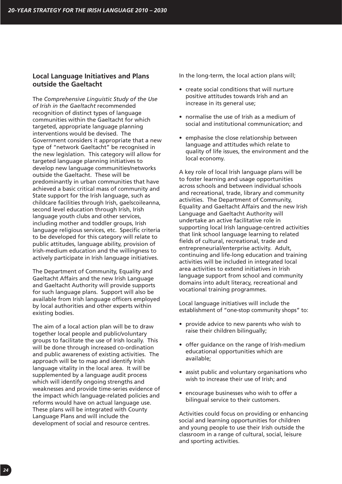# **Local Language Initiatives and Plans outside the Gaeltacht**

The *Comprehensive Linguistic Study of the Use of Irish in the Gaeltacht* recommended recognition of distinct types of language communities within the Gaeltacht for which targeted, appropriate language planning interventions would be devised. The Government considers it appropriate that a new type of "network Gaeltacht" be recognised in the new legislation. This category will allow for targeted language planning initiatives to develop new language communities/networks outside the Gaeltacht. These will be predominantly in urban communities that have achieved a basic critical mass of community and State support for the Irish language, such as childcare facilities through Irish, gaelscoileanna, second level education through Irish, Irish language youth clubs and other services, including mother and toddler groups, Irish language religious services, etc. Specific criteria to be developed for this category will relate to public attitudes, language ability, provision of Irish-medium education and the willingness to actively participate in Irish language initiatives.

The Department of Community, Equality and Gaeltacht Affairs and the new Irish Language and Gaeltacht Authority will provide supports for such language plans. Support will also be available from Irish language officers employed by local authorities and other experts within existing bodies.

The aim of a local action plan will be to draw together local people and public/voluntary groups to facilitate the use of Irish locally. This will be done through increased co-ordination and public awareness of existing activities. The approach will be to map and identify Irish language vitality in the local area. It will be supplemented by a language audit process which will identify ongoing strengths and weaknesses and provide time-series evidence of the impact which language-related policies and reforms would have on actual language use. These plans will be integrated with County Language Plans and will include the development of social and resource centres.

In the long-term, the local action plans will;

- create social conditions that will nurture positive attitudes towards Irish and an increase in its general use;
- normalise the use of Irish as a medium of social and institutional communication; and
- emphasise the close relationship between language and attitudes which relate to quality of life issues, the environment and the local economy.

A key role of local Irish language plans will be to foster learning and usage opportunities across schools and between individual schools and recreational, trade, library and community activities. The Department of Community, Equality and Gaeltacht Affairs and the new Irish Language and Gaeltacht Authority will undertake an active facilitative role in supporting local Irish language-centred activities that link school language learning to related fields of cultural, recreational, trade and entrepreneurial/enterprise activity. Adult, continuing and life-long education and training activities will be included in integrated local area activities to extend initiatives in Irish language support from school and community domains into adult literacy, recreational and vocational training programmes.

Local language initiatives will include the establishment of "one-stop community shops" to:

- provide advice to new parents who wish to raise their children bilingually;
- offer guidance on the range of Irish-medium educational opportunities which are available;
- assist public and voluntary organisations who wish to increase their use of Irish; and
- encourage businesses who wish to offer a bilingual service to their customers.

Activities could focus on providing or enhancing social and learning opportunities for children and young people to use their Irish outside the classroom in a range of cultural, social, leisure and sporting activities.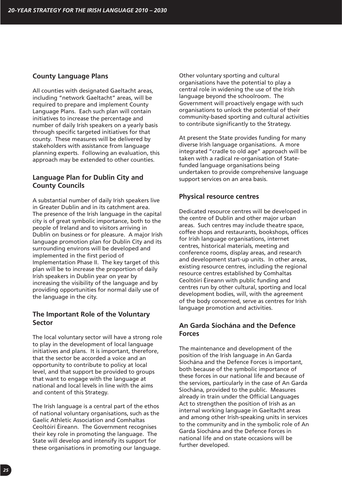### **County Language Plans**

All counties with designated Gaeltacht areas, including "network Gaeltacht" areas, will be required to prepare and implement County Language Plans. Each such plan will contain initiatives to increase the percentage and number of daily Irish speakers on a yearly basis through specific targeted initiatives for that county. These measures will be delivered by stakeholders with assistance from language planning experts. Following an evaluation, this approach may be extended to other counties.

# **Language Plan for Dublin City and County Councils**

A substantial number of daily Irish speakers live in Greater Dublin and in its catchment area. The presence of the Irish language in the capital city is of great symbolic importance, both to the people of Ireland and to visitors arriving in Dublin on business or for pleasure. A major Irish language promotion plan for Dublin City and its surrounding environs will be developed and implemented in the first period of Implementation Phase II. The key target of this plan will be to increase the proportion of daily Irish speakers in Dublin year on year by increasing the visibility of the language and by providing opportunities for normal daily use of the language in the city.

# **The Important Role of the Voluntary Sector**

The local voluntary sector will have a strong role to play in the development of local language initiatives and plans. It is important, therefore, that the sector be accorded a voice and an opportunity to contribute to policy at local level, and that support be provided to groups that want to engage with the language at national and local levels in line with the aims and content of this Strategy.

The Irish language is a central part of the ethos of national voluntary organisations, such as the Gaelic Athletic Association and Comhaltas Ceoltóirí Éireann. The Government recognises their key role in promoting the language. The State will develop and intensify its support for these organisations in promoting our language. Other voluntary sporting and cultural organisations have the potential to play a central role in widening the use of the Irish language beyond the schoolroom. The Government will proactively engage with such organisations to unlock the potential of their community-based sporting and cultural activities to contribute significantly to the Strategy.

At present the State provides funding for many diverse Irish language organisations. A more integrated "cradle to old age" approach will be taken with a radical re-organisation of Statefunded language organisations being undertaken to provide comprehensive language support services on an area basis.

# **Physical resource centres**

Dedicated resource centres will be developed in the centre of Dublin and other major urban areas. Such centres may include theatre space, coffee shops and restaurants, bookshops, offices for Irish language organisations, internet centres, historical materials, meeting and conference rooms, display areas, and research and development start-up units. In other areas, existing resource centres, including the regional resource centres established by Comhaltas Ceoltóirí Éireann with public funding and centres run by other cultural, sporting and local development bodies, will, with the agreement of the body concerned, serve as centres for Irish language promotion and activities.

# **An Garda Síochána and the Defence Forces**

The maintenance and development of the position of the Irish language in An Garda Síochána and the Defence Forces is important, both because of the symbolic importance of these forces in our national life and because of the services, particularly in the case of An Garda Síochána, provided to the public. Measures already in train under the Official Languages Act to strengthen the position of Irish as an internal working language in Gaeltacht areas and among other Irish-speaking units in services to the community and in the symbolic role of An Garda Síochána and the Defence Forces in national life and on state occasions will be further developed.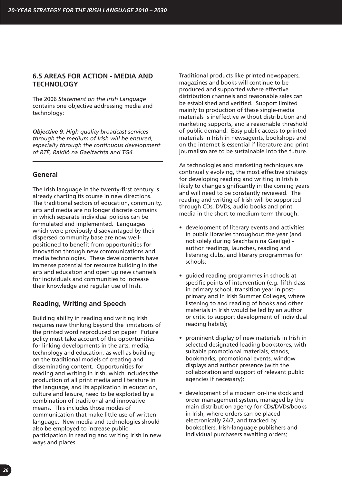# **6.5 AREAS FOR ACTION - MEDIA AND TECHNOLOGY**

The 2006 *Statement on the Irish Language* contains one objective addressing media and technology:

*Objective 9: High quality broadcast services through the medium of Irish will be ensured, especially through the continuous development of RTÉ, Raidió na Gaeltachta and TG4.* 

# **General**

The Irish language in the twenty-first century is already charting its course in new directions. The traditional sectors of education, community, arts and media are no longer discrete domains in which separate individual policies can be formulated and implemented. Languages which were previously disadvantaged by their dispersed community base are now wellpositioned to benefit from opportunities for innovation through new communications and media technologies. These developments have immense potential for resource building in the arts and education and open up new channels for individuals and communities to increase their knowledge and regular use of Irish.

# **Reading, Writing and Speech**

Building ability in reading and writing Irish requires new thinking beyond the limitations of the printed word reproduced on paper. Future policy must take account of the opportunities for linking developments in the arts, media, technology and education, as well as building on the traditional models of creating and disseminating content. Opportunities for reading and writing in Irish, which includes the production of all print media and literature in the language, and its application in education, culture and leisure, need to be exploited by a combination of traditional and innovative means. This includes those modes of communication that make little use of written language. New media and technologies should also be employed to increase public participation in reading and writing Irish in new ways and places.

Traditional products like printed newspapers, magazines and books will continue to be produced and supported where effective distribution channels and reasonable sales can be established and verified. Support limited mainly to production of these single-media materials is ineffective without distribution and marketing supports, and a reasonable threshold of public demand. Easy public access to printed materials in Irish in newsagents, bookshops and on the internet is essential if literature and print journalism are to be sustainable into the future.

As technologies and marketing techniques are continually evolving, the most effective strategy for developing reading and writing in Irish is likely to change significantly in the coming years and will need to be constantly reviewed. The reading and writing of Irish will be supported through CDs, DVDs, audio books and print media in the short to medium-term through:

- development of literary events and activities in public libraries throughout the year (and not solely during Seachtain na Gaeilge) author readings, launches, reading and listening clubs, and literary programmes for schools;
- guided reading programmes in schools at specific points of intervention (e.g. fifth class in primary school, transition year in postprimary and in Irish Summer Colleges, where listening to and reading of books and other materials in Irish would be led by an author or critic to support development of individual reading habits);
- prominent display of new materials in Irish in selected designated leading bookstores, with suitable promotional materials, stands, bookmarks, promotional events, window displays and author presence (with the collaboration and support of relevant public agencies if necessary);
- development of a modern on-line stock and order management system, managed by the main distribution agency for CDs/DVDs/books in Irish, where orders can be placed electronically 24/7, and tracked by booksellers, Irish-language publishers and individual purchasers awaiting orders;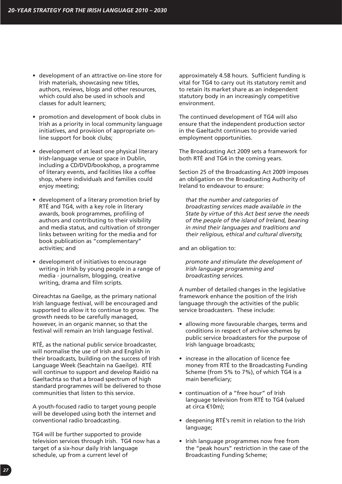- development of an attractive on-line store for Irish materials, showcasing new titles, authors, reviews, blogs and other resources, which could also be used in schools and classes for adult learners;
- promotion and development of book clubs in Irish as a priority in local community language initiatives, and provision of appropriate online support for book clubs;
- development of at least one physical literary Irish-language venue or space in Dublin, including a CD/DVD/bookshop, a programme of literary events, and facilities like a coffee shop, where individuals and families could enjoy meeting;
- development of a literary promotion brief by RTÉ and TG4, with a key role in literary awards, book programmes, profiling of authors and contributing to their visibility and media status, and cultivation of stronger links between writing for the media and for book publication as "complementary" activities; and
- development of initiatives to encourage writing in Irish by young people in a range of media - journalism, blogging, creative writing, drama and film scripts.

Oireachtas na Gaeilge, as the primary national Irish language festival, will be encouraged and supported to allow it to continue to grow. The growth needs to be carefully managed, however, in an organic manner, so that the festival will remain an Irish language festival.

RTÉ, as the national public service broadcaster, will normalise the use of Irish and English in their broadcasts, building on the success of Irish Language Week (Seachtain na Gaeilge). RTÉ will continue to support and develop Raidió na Gaeltachta so that a broad spectrum of high standard programmes will be delivered to those communities that listen to this service.

A youth-focused radio to target young people will be developed using both the internet and conventional radio broadcasting.

TG4 will be further supported to provide television services through Irish. TG4 now has a target of a six-hour daily Irish language schedule, up from a current level of

approximately 4.58 hours. Sufficient funding is vital for TG4 to carry out its statutory remit and to retain its market share as an independent statutory body in an increasingly competitive environment.

The continued development of TG4 will also ensure that the independent production sector in the Gaeltacht continues to provide varied employment opportunities.

The Broadcasting Act 2009 sets a framework for both RTÉ and TG4 in the coming years.

Section 25 of the Broadcasting Act 2009 imposes an obligation on the Broadcasting Authority of Ireland to endeavour to ensure:

*that the number and categories of broadcasting services made available in the State by virtue of this Act best serve the needs of the people of the island of Ireland, bearing in mind their languages and traditions and their religious, ethical and cultural diversity,*

and an obligation to:

*promote and stimulate the development of Irish language programming and broadcasting services.*

A number of detailed changes in the legislative framework enhance the position of the Irish language through the activities of the public service broadcasters. These include:

- allowing more favourable charges, terms and conditions in respect of archive schemes by public service broadcasters for the purpose of Irish language broadcasts;
- increase in the allocation of licence fee money from RTÉ to the Broadcasting Funding Scheme (from 5% to 7%), of which TG4 is a main beneficiary;
- continuation of a "free hour" of Irish language television from RTÉ to TG4 (valued at circa €10m);
- deepening RTÉ's remit in relation to the Irish language;
- Irish language programmes now free from the "peak hours" restriction in the case of the Broadcasting Funding Scheme;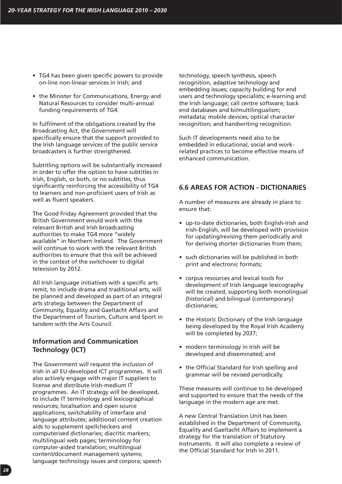- TG4 has been given specific powers to provide on-line non-linear services in Irish; and
- the Minister for Communications, Energy and Natural Resources to consider multi-annual funding requirements of TG4.

In fulfilment of the obligations created by the Broadcasting Act, the Government will specifically ensure that the support provided to the Irish language services of the public service broadcasters is further strengthened.

Subtitling options will be substantially increased in order to offer the option to have subtitles in Irish, English, or both, or no subtitles, thus significantly reinforcing the accessibility of TG4 to learners and non-proficient users of Irish as well as fluent speakers.

The Good Friday Agreement provided that the British Government would work with the relevant British and Irish broadcasting authorities to make TG4 more "widely available" in Northern Ireland. The Government will continue to work with the relevant British authorities to ensure that this will be achieved in the context of the switchover to digital television by 2012.

All Irish language initiatives with a specific arts remit, to include drama and traditional arts, will be planned and developed as part of an integral arts strategy between the Department of Community, Equality and Gaeltacht Affairs and the Department of Tourism, Culture and Sport in tandem with the Arts Council.

# **Information and Communication Technology (ICT)**

The Government will request the inclusion of Irish in all EU-developed ICT programmes. It will also actively engage with major IT suppliers to license and distribute Irish-medium IT programmes. An IT strategy will be developed, to include IT terminology and lexicographical resources; localisation and open source applications; switchability of interface and language attributes; additional content creation aids to supplement spellcheckers and computerised dictionaries; diacritic markers; multilingual web pages; terminology for computer-aided translation; multilingual content/document management systems; language technology issues and corpora; speech

technology, speech synthesis, speech recognition, adaptive technology and embedding issues; capacity building for end users and technology specialists; e-learning and the Irish language; call centre software; back end databases and bi/multilingualism; metadata; mobile devices; optical character recognition; and handwriting recognition.

Such IT developments need also to be embedded in educational, social and workrelated practices to become effective means of enhanced communication.

# **6.6 AREAS FOR ACTION - DICTIONARIES**

A number of measures are already in place to ensure that:

- up-to-date dictionaries, both English-Irish and Irish-English, will be developed with provision for updating/revising them periodically and for deriving shorter dictionaries from them;
- such dictionaries will be published in both print and electronic formats;
- corpus resources and lexical tools for development of Irish language lexicography will be created, supporting both monolingual (historical) and bilingual (contemporary) dictionaries;
- the Historic Dictionary of the Irish language being developed by the Royal Irish Academy will be completed by 2037;
- modern terminology in Irish will be developed and disseminated; and
- the Official Standard for Irish spelling and grammar will be revised periodically.

These measures will continue to be developed and supported to ensure that the needs of the language in the modern age are met.

A new Central Translation Unit has been established in the Department of Community, Equality and Gaeltacht Affairs to implement a strategy for the translation of Statutory Instruments. It will also complete a review of the Official Standard for Irish in 2011.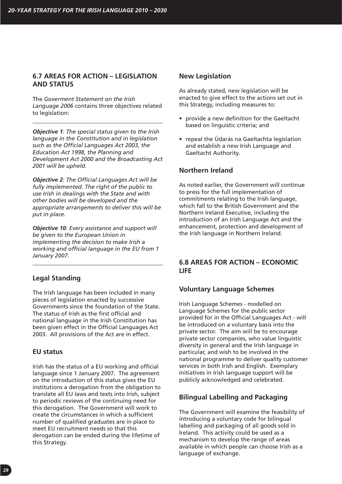# **6.7 AREAS FOR ACTION – LEGISLATION AND STATUS**

The *Goverment Statement on the Irish Language 2006* contains three objectives related to legislation:

*Objective 1: The special status given to the Irish language in the Constitution and in legislation such as the Official Languages Act 2003, the Education Act 1998, the Planning and Development Act 2000 and the Broadcasting Act 2001 will be upheld.*

*Objective 2: The Official Languages Act will be fully implemented. The right of the public to use Irish in dealings with the State and with other bodies will be developed and the appropriate arrangements to deliver this will be put in place.*

*Objective 10: Every assistance and support will be given to the European Union in implementing the decision to make Irish a working and official language in the EU from 1 January 2007.* 

# **Legal Standing**

The Irish language has been included in many pieces of legislation enacted by successive Governments since the foundation of the State. The status of Irish as the first official and national language in the Irish Constitution has been given effect in the Official Languages Act 2003. All provisions of the Act are in effect.

#### **EU status**

Irish has the status of a EU working and official language since 1 January 2007. The agreement on the introduction of this status gives the EU institutions a derogation from the obligation to translate all EU laws and texts into Irish, subject to periodic reviews of the continuing need for this derogation. The Government will work to create the circumstances in which a sufficient number of qualified graduates are in place to meet EU recruitment needs so that this derogation can be ended during the lifetime of this Strategy.

#### **New Legislation**

As already stated, new legislation will be enacted to give effect to the actions set out in this Strategy, including measures to:

- provide a new definition for the Gaeltacht based on linguistic criteria; and
- repeal the Údarás na Gaeltachta legislation and establish a new Irish Language and Gaeltacht Authority.

# **Northern Ireland**

As noted earlier, the Government will continue to press for the full implementation of commitments relating to the Irish language, which fall to the British Government and the Northern Ireland Executive, including the introduction of an Irish Language Act and the enhancement, protection and development of the Irish language in Northern Ireland.

# **6.8 AREAS FOR ACTION – ECONOMIC LIFE**

# **Voluntary Language Schemes**

Irish Language Schemes - modelled on Language Schemes for the public sector provided for in the Official Languages Act - will be introduced on a voluntary basis into the private sector. The aim will be to encourage private sector companies, who value linguistic diversity in general and the Irish language in particular, and wish to be involved in the national programme to deliver quality customer services in both Irish and English. Exemplary initiatives in Irish language support will be publicly acknowledged and celebrated.

# **Bilingual Labelling and Packaging**

The Government will examine the feasibility of introducing a voluntary code for bilingual labelling and packaging of all goods sold in Ireland. This activity could be used as a mechanism to develop the range of areas available in which people can choose Irish as a language of exchange.